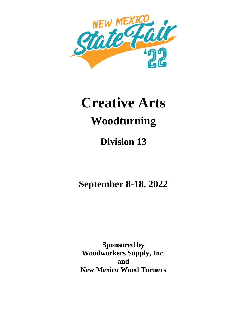

# **Creative Arts Woodturning**

## **Division 13**

**September 8-18, 2022**

**Sponsored by Woodworkers Supply, Inc. and New Mexico Wood Turners**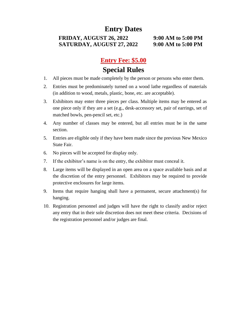## **Entry Dates**

#### **FRIDAY, AUGUST 26, 2022 9:00 AM to 5:00 PM SATURDAY, AUGUST 27, 2022 9:00 AM to 5:00 PM**

## **Entry Fee: \$5.00 Special Rules**

- 1. All pieces must be made completely by the person or persons who enter them.
- 2. Entries must be predominately turned on a wood lathe regardless of materials (in addition to wood, metals, plastic, bone, etc. are acceptable).
- 3. Exhibitors may enter three pieces per class. Multiple items may be entered as one piece only if they are a set (e.g., desk-accessory set, pair of earrings, set of matched bowls, pen-pencil set, etc.)
- 4. Any number of classes may be entered, but all entries must be in the same section.
- 5. Entries are eligible only if they have been made since the previous New Mexico State Fair.
- 6. No pieces will be accepted for display only.
- 7. If the exhibitor's name is on the entry, the exhibitor must conceal it.
- 8. Large items will be displayed in an open area on a space available basis and at the discretion of the entry personnel. Exhibitors may be required to provide protective enclosures for large items.
- 9. Items that require hanging shall have a permanent, secure attachment(s) for hanging.
- 10. Registration personnel and judges will have the right to classify and/or reject any entry that in their sole discretion does not meet these criteria. Decisions of the registration personnel and/or judges are final.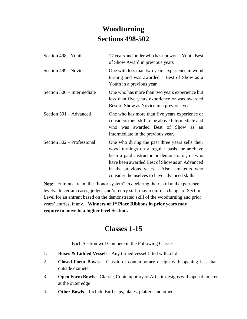## **Woodturning Sections 498-502**

| Section 498 - Youth        | 17 years and under who has not won a Youth Best<br>of Show Award in previous years                                                                                                                                                                                                              |
|----------------------------|-------------------------------------------------------------------------------------------------------------------------------------------------------------------------------------------------------------------------------------------------------------------------------------------------|
| Section 499 - Novice       | One with less than two years experience in wood<br>turning and was awarded a Best of Show as a<br>Youth in a previous year                                                                                                                                                                      |
| Section 500 – Intermediate | One who has more than two years experience but<br>less than five years experience or was awarded<br>Best of Show as Novice in a previous year                                                                                                                                                   |
| Section 501 – Advanced     | One who has more than five years experience or<br>considers their skill to be above Intermediate and<br>was awarded Best of Show<br>$w$ ho<br><b>as</b><br>an<br>Intermediate in the previous year.                                                                                             |
| Section 502 – Professional | One who during the past three years sells their<br>wood turnings on a regular basis, or are/have<br>been a paid instructor or demonstrator, or who<br>have been awarded Best of Show as an Advanced<br>in the previous years. Also, amateurs who<br>consider themselves to have advanced skills |

**Note:** Entrants are on the "honor system" in declaring their skill and experience levels. In certain cases, judges and/or entry staff may require a change of Section Level for an entrant based on the demonstrated skill of the woodturning and prior years' entries, if any. **Winners of 1st Place Ribbons in prior years may require to move to a higher level Section.**

## **Classes 1-15**

Each Section will Compete in the Following Classes:

- 1. **Boxes & Lidded Vessels** Any turned vessel fitted with a lid.
- 2. **Closed-Form Bowls** Classic or contemporary design with opening less than outside diameter
- 3. **Open Form Bowls** Classic, Contemporary or Artistic designs with open diameter at the outer edge
- 4. **Other Bowls** Include Burl caps, plates, platters and other